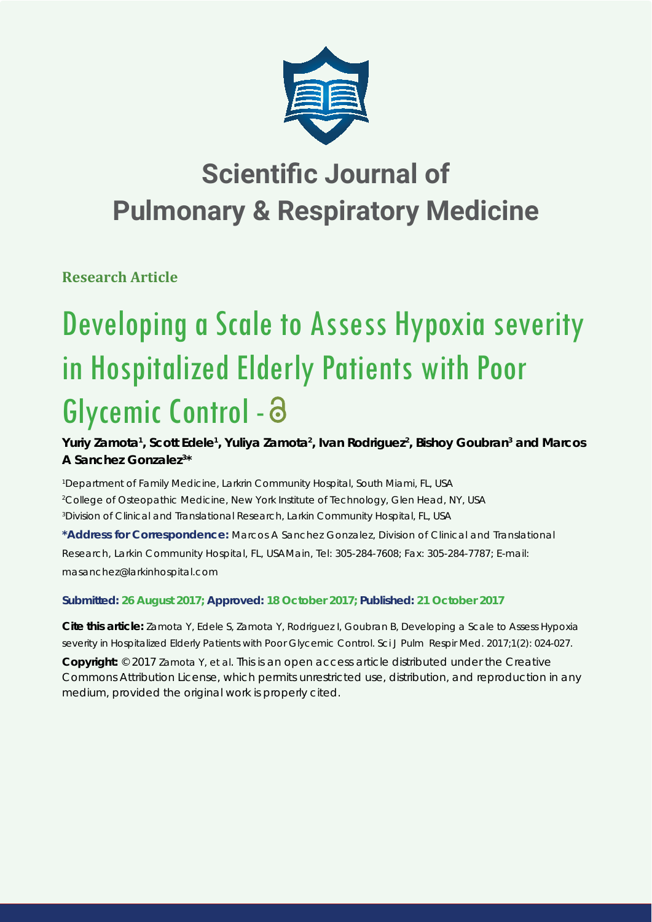

# **Scientific Journal of Pulmonary & Respiratory Medicine**

**Research Article**

# Developing a Scale to Assess Hypoxia severity in Hospitalized Elderly Patients with Poor Glycemic Control -

Yuriy Zamota<sup>1</sup>, Scott Edele<sup>1</sup>, Yuliya Zamota<sup>2</sup>, Ivan Rodriguez<sup>2</sup>, Bishoy Goubran<sup>3</sup> and Marcos **A Sanchez Gonzalez3 \***

*1 Department of Family Medicine, Larkrin Community Hospital, South Miami, FL, USA 2 College of Osteopathic Medicine, New York Institute of Technology, Glen Head, NY, USA 3 Division of Clinical and Translational Research, Larkin Community Hospital, FL, USA*

**\*Address for Correspondence:** Marcos A Sanchez Gonzalez, Division of Clinical and Translational Research, Larkin Community Hospital, FL, USAMain, Tel: 305-284-7608; Fax: 305-284-7787; E-mail: masanchez@larkinhospital.com

**Submitted: 26 August 2017; Approved: 18 October 2017; Published: 21 October 2017**

**Cite this article:** Zamota Y, Edele S, Zamota Y, Rodriguez I, Goubran B, Developing a Scale to Assess Hypoxia severity in Hospitalized Elderly Patients with Poor Glycemic Control. Sci J Pulm Respir Med. 2017;1(2): 024-027.

**Copyright:** © 2017 Zamota Y, et al. This is an open access article distributed under the Creative Commons Attribution License, which permits unrestricted use, distribution, and reproduction in any medium, provided the original work is properly cited.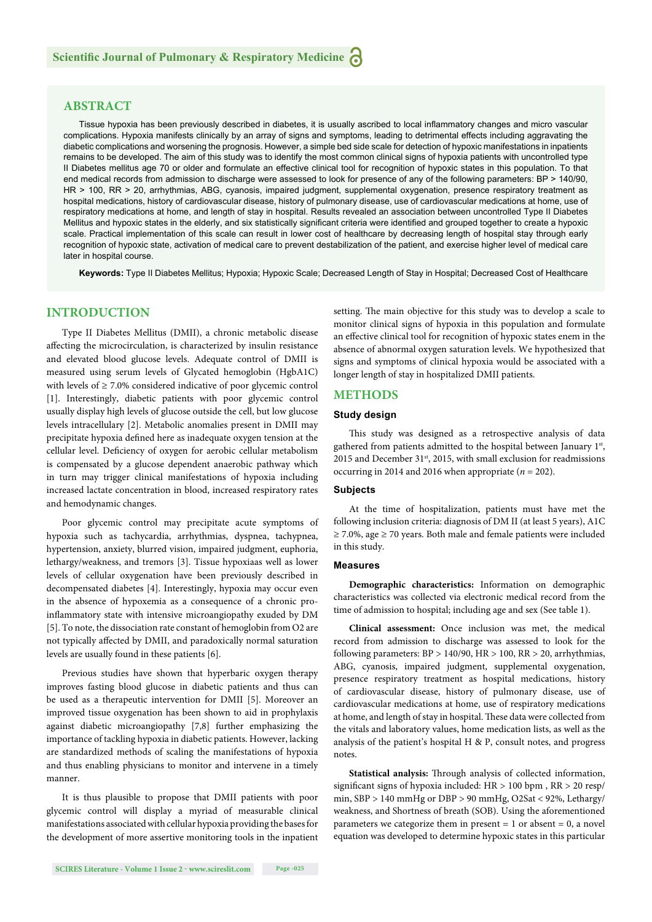# **ABSTRACT**

Tissue hypoxia has been previously described in diabetes, it is usually ascribed to local inflammatory changes and micro vascular complications. Hypoxia manifests clinically by an array of signs and symptoms, leading to detrimental effects including aggravating the diabetic complications and worsening the prognosis. However, a simple bed side scale for detection of hypoxic manifestations in inpatients remains to be developed. The aim of this study was to identify the most common clinical signs of hypoxia patients with uncontrolled type II Diabetes mellitus age 70 or older and formulate an effective clinical tool for recognition of hypoxic states in this population. To that end medical records from admission to discharge were assessed to look for presence of any of the following parameters: BP > 140/90, HR > 100, RR > 20, arrhythmias, ABG, cyanosis, impaired judgment, supplemental oxygenation, presence respiratory treatment as hospital medications, history of cardiovascular disease, history of pulmonary disease, use of cardiovascular medications at home, use of respiratory medications at home, and length of stay in hospital. Results revealed an association between uncontrolled Type II Diabetes Mellitus and hypoxic states in the elderly, and six statistically significant criteria were identified and grouped together to create a hypoxic scale. Practical implementation of this scale can result in lower cost of healthcare by decreasing length of hospital stay through early recognition of hypoxic state, activation of medical care to prevent destabilization of the patient, and exercise higher level of medical care later in hospital course.

**Keywords:** Type II Diabetes Mellitus; Hypoxia; Hypoxic Scale; Decreased Length of Stay in Hospital; Decreased Cost of Healthcare

# **INTRODUCTION**

Type II Diabetes Mellitus (DMII), a chronic metabolic disease affecting the microcirculation, is characterized by insulin resistance and elevated blood glucose levels. Adequate control of DMII is measured using serum levels of Glycated hemoglobin (HgbA1C) with levels of ≥ 7.0% considered indicative of poor glycemic control [1]. Interestingly, diabetic patients with poor glycemic control usually display high levels of glucose outside the cell, but low glucose levels intracellulary [2]. Metabolic anomalies present in DMII may precipitate hypoxia defined here as inadequate oxygen tension at the cellular level. Deficiency of oxygen for aerobic cellular metabolism is compensated by a glucose dependent anaerobic pathway which in turn may trigger clinical manifestations of hypoxia including increased lactate concentration in blood, increased respiratory rates and hemodynamic changes.

Poor glycemic control may precipitate acute symptoms of hypoxia such as tachycardia, arrhythmias, dyspnea, tachypnea, hypertension, anxiety, blurred vision, impaired judgment, euphoria, lethargy/weakness, and tremors [3]. Tissue hypoxiaas well as lower levels of cellular oxygenation have been previously described in decompensated diabetes [4]. Interestingly, hypoxia may occur even in the absence of hypoxemia as a consequence of a chronic proinflammatory state with intensive microangiopathy exuded by DM [5]. To note, the dissociation rate constant of hemoglobin from O2 are not typically affected by DMII, and paradoxically normal saturation levels are usually found in these patients [6].

Previous studies have shown that hyperbaric oxygen therapy improves fasting blood glucose in diabetic patients and thus can be used as a therapeutic intervention for DMII [5]. Moreover an improved tissue oxygenation has been shown to aid in prophylaxis against diabetic microangiopathy [7,8] further emphasizing the importance of tackling hypoxia in diabetic patients. However, lacking are standardized methods of scaling the manifestations of hypoxia and thus enabling physicians to monitor and intervene in a timely manner.

It is thus plausible to propose that DMII patients with poor glycemic control will display a myriad of measurable clinical manifestations associated with cellular hypoxia providing the bases for the development of more assertive monitoring tools in the inpatient

setting. The main objective for this study was to develop a scale to monitor clinical signs of hypoxia in this population and formulate an effective clinical tool for recognition of hypoxic states enem in the absence of abnormal oxygen saturation levels. We hypothesized that signs and symptoms of clinical hypoxia would be associated with a longer length of stay in hospitalized DMII patients.

#### **METHODS**

### **Study design**

This study was designed as a retrospective analysis of data gathered from patients admitted to the hospital between January 1st, 2015 and December  $31<sup>st</sup>$ , 2015, with small exclusion for readmissions occurring in 2014 and 2016 when appropriate ( $n = 202$ ).

#### **Subjects**

At the time of hospitalization, patients must have met the following inclusion criteria: diagnosis of DM II (at least 5 years), A1C  $\geq$  7.0%, age  $\geq$  70 years. Both male and female patients were included in this study.

#### **Measures**

**Demographic characteristics:** Information on demographic characteristics was collected via electronic medical record from the time of admission to hospital; including age and sex (See table 1).

**Clinical assessment:** Once inclusion was met, the medical record from admission to discharge was assessed to look for the following parameters:  $BP > 140/90$ ,  $HR > 100$ ,  $RR > 20$ , arrhythmias, ABG, cyanosis, impaired judgment, supplemental oxygenation, presence respiratory treatment as hospital medications, history of cardiovascular disease, history of pulmonary disease, use of cardiovascular medications at home, use of respiratory medications at home, and length of stay in hospital. These data were collected from the vitals and laboratory values, home medication lists, as well as the analysis of the patient's hospital H & P, consult notes, and progress notes.

Statistical analysis: Through analysis of collected information, significant signs of hypoxia included:  $HR > 100$  bpm,  $RR > 20$  resp/ min, SBP > 140 mmHg or DBP > 90 mmHg, O2Sat < 92%, Lethargy/ weakness, and Shortness of breath (SOB). Using the aforementioned parameters we categorize them in present  $= 1$  or absent  $= 0$ , a novel equation was developed to determine hypoxic states in this particular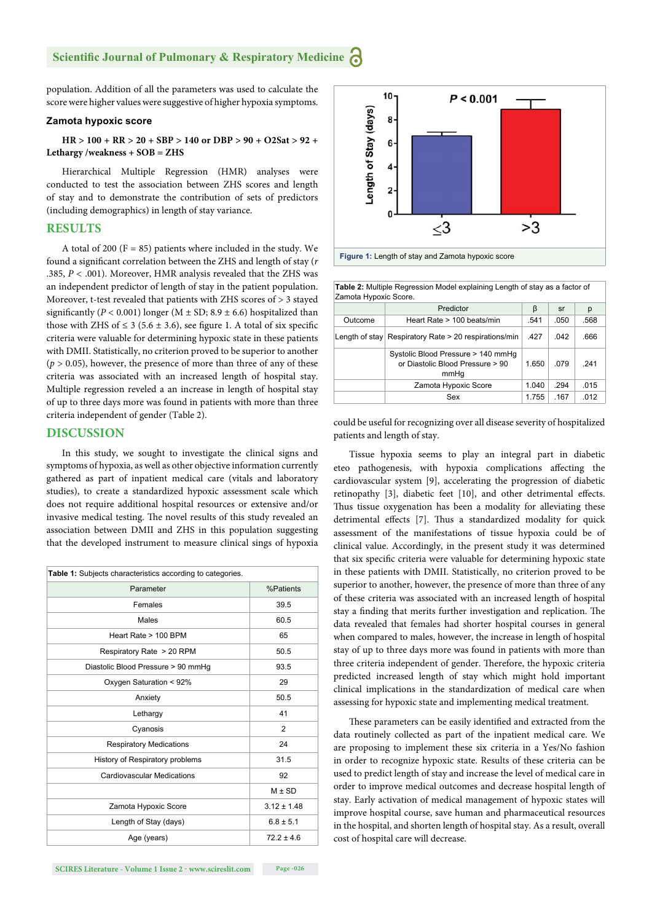# **Scientific Journal of Pulmonary & Respiratory Medicine**

population. Addition of all the parameters was used to calculate the score were higher values were suggestive of higher hypoxia symptoms.

#### **Zamota hypoxic score**

### **HR > 100 + RR > 20 + SBP > 140 or DBP > 90 + O2Sat > 92 + Lethargy /weakness + SOB = ZHS**

Hierarchical Multiple Regression (HMR) analyses were conducted to test the association between ZHS scores and length of stay and to demonstrate the contribution of sets of predictors (including demographics) in length of stay variance.

# **RESULTS**

A total of 200 ( $F = 85$ ) patients where included in the study. We found a significant correlation between the ZHS and length of stay (*r* .385, *P <* .001). Moreover, HMR analysis revealed that the ZHS was an independent predictor of length of stay in the patient population. Moreover, t-test revealed that patients with ZHS scores of > 3 stayed significantly ( $P < 0.001$ ) longer ( $M \pm SD$ ; 8.9  $\pm 6.6$ ) hospitalized than those with ZHS of  $\leq$  3 (5.6  $\pm$  3.6), see figure 1. A total of six specific criteria were valuable for determining hypoxic state in these patients with DMII. Statistically, no criterion proved to be superior to another  $(p > 0.05)$ , however, the presence of more than three of any of these criteria was associated with an increased length of hospital stay. Multiple regression reveled a an increase in length of hospital stay of up to three days more was found in patients with more than three criteria independent of gender (Table 2).

# **DISCUSSION**

In this study, we sought to investigate the clinical signs and symptoms of hypoxia, as well as other objective information currently gathered as part of inpatient medical care (vitals and laboratory studies), to create a standardized hypoxic assessment scale which does not require additional hospital resources or extensive and/or invasive medical testing. The novel results of this study revealed an association between DMII and ZHS in this population suggesting that the developed instrument to measure clinical sings of hypoxia

| <b>Table 1:</b> Subjects characteristics according to categories. |                 |  |
|-------------------------------------------------------------------|-----------------|--|
| Parameter                                                         | %Patients       |  |
| Females                                                           | 39.5            |  |
| Males                                                             | 60.5            |  |
| Heart Rate > 100 BPM                                              | 65              |  |
| Respiratory Rate > 20 RPM                                         | 50.5            |  |
| Diastolic Blood Pressure > 90 mmHq                                | 93.5            |  |
| Oxygen Saturation < 92%                                           | 29              |  |
| Anxiety                                                           | 50.5            |  |
| Lethargy                                                          | 41              |  |
| Cyanosis                                                          | 2               |  |
| <b>Respiratory Medications</b>                                    | 24              |  |
| History of Respiratory problems                                   | 31.5            |  |
| <b>Cardiovascular Medications</b>                                 | 92              |  |
|                                                                   | $M \pm SD$      |  |
| Zamota Hypoxic Score                                              | $3.12 \pm 1.48$ |  |
| Length of Stay (days)                                             | $6.8 \pm 5.1$   |  |
| Age (years)                                                       | $72.2 \pm 4.6$  |  |
|                                                                   |                 |  |





**Figure 1:** Length of stay and Zamota hypoxic score

| Table 2: Multiple Regression Model explaining Length of stay as a factor of<br>Zamota Hypoxic Score. |                                                                                |       |      |      |  |
|------------------------------------------------------------------------------------------------------|--------------------------------------------------------------------------------|-------|------|------|--|
|                                                                                                      | Predictor                                                                      | β     | sr   | р    |  |
| Outcome                                                                                              | Heart Rate > 100 beats/min                                                     | .541  | .050 | .568 |  |
|                                                                                                      | Length of stay Respiratory Rate $>$ 20 respirations/min                        | .427  | .042 | .666 |  |
|                                                                                                      | Systolic Blood Pressure > 140 mmHq<br>or Diastolic Blood Pressure > 90<br>mmHa | 1.650 | 079  | 241  |  |
|                                                                                                      | Zamota Hypoxic Score                                                           | 1.040 | .294 | .015 |  |
|                                                                                                      | Sex                                                                            | 1.755 | .167 | .012 |  |

could be useful for recognizing over all disease severity of hospitalized patients and length of stay.

Tissue hypoxia seems to play an integral part in diabetic eteo pathogenesis, with hypoxia complications affecting the cardiovascular system [9], accelerating the progression of diabetic retinopathy [3], diabetic feet [10], and other detrimental effects. Thus tissue oxygenation has been a modality for alleviating these detrimental effects [7]. Thus a standardized modality for quick assessment of the manifestations of tissue hypoxia could be of clinical value. Accordingly, in the present study it was determined that six specific criteria were valuable for determining hypoxic state in these patients with DMII. Statistically, no criterion proved to be superior to another, however, the presence of more than three of any of these criteria was associated with an increased length of hospital stay a finding that merits further investigation and replication. The data revealed that females had shorter hospital courses in general when compared to males, however, the increase in length of hospital stay of up to three days more was found in patients with more than three criteria independent of gender. Therefore, the hypoxic criteria predicted increased length of stay which might hold important clinical implications in the standardization of medical care when assessing for hypoxic state and implementing medical treatment.

These parameters can be easily identified and extracted from the data routinely collected as part of the inpatient medical care. We are proposing to implement these six criteria in a Yes/No fashion in order to recognize hypoxic state. Results of these criteria can be used to predict length of stay and increase the level of medical care in order to improve medical outcomes and decrease hospital length of stay. Early activation of medical management of hypoxic states will improve hospital course, save human and pharmaceutical resources in the hospital, and shorten length of hospital stay. As a result, overall cost of hospital care will decrease.